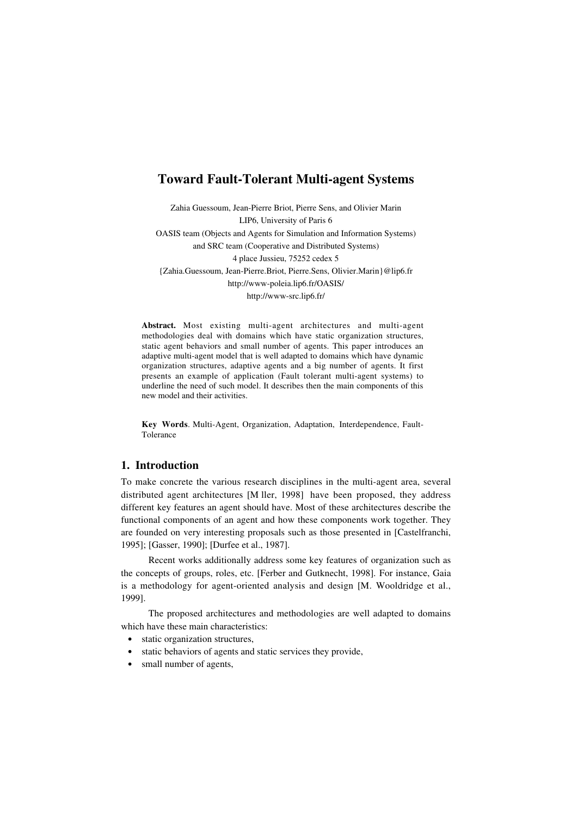# **Toward Fault-Tolerant Multi-agent Systems**

Zahia Guessoum, Jean-Pierre Briot, Pierre Sens, and Olivier Marin LIP6, University of Paris 6 OASIS team (Objects and Agents for Simulation and Information Systems) and SRC team (Cooperative and Distributed Systems) 4 place Jussieu, 75252 cedex 5 {Zahia.Guessoum, Jean-Pierre.Briot, Pierre.Sens, Olivier.Marin}@lip6.fr http://www-poleia.lip6.fr/OASIS/ http://www-src.lip6.fr/

**Abstract.** Most existing multi-agent architectures and multi-agent methodologies deal with domains which have static organization structures, static agent behaviors and small number of agents. This paper introduces an adaptive multi-agent model that is well adapted to domains which have dynamic organization structures, adaptive agents and a big number of agents. It first presents an example of application (Fault tolerant multi-agent systems) to underline the need of such model. It describes then the main components of this new model and their activities.

**Key Words**. Multi-Agent, Organization, Adaptation, Interdependence, Fault-Tolerance

## **1. Introduction**

To make concrete the various research disciplines in the multi-agent area, several distributed agent architectures [M ller, 1998] have been proposed, they address different key features an agent should have. Most of these architectures describe the functional components of an agent and how these components work together. They are founded on very interesting proposals such as those presented in [Castelfranchi, 1995]; [Gasser, 1990]; [Durfee et al., 1987].

Recent works additionally address some key features of organization such as the concepts of groups, roles, etc. [Ferber and Gutknecht, 1998]. For instance, Gaia is a methodology for agent-oriented analysis and design [M. Wooldridge et al., 1999].

The proposed architectures and methodologies are well adapted to domains which have these main characteristics:

- static organization structures,
- static behaviors of agents and static services they provide,
- small number of agents,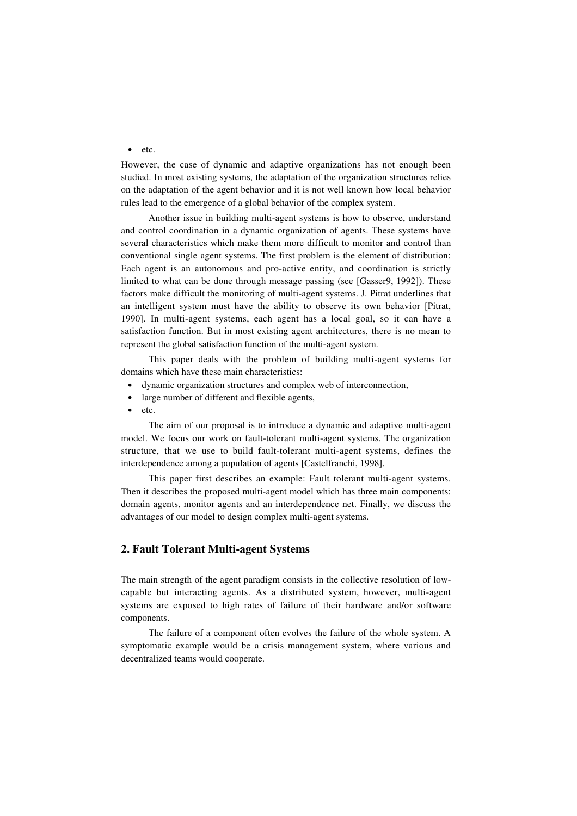• etc.

However, the case of dynamic and adaptive organizations has not enough been studied. In most existing systems, the adaptation of the organization structures relies on the adaptation of the agent behavior and it is not well known how local behavior rules lead to the emergence of a global behavior of the complex system.

Another issue in building multi-agent systems is how to observe, understand and control coordination in a dynamic organization of agents. These systems have several characteristics which make them more difficult to monitor and control than conventional single agent systems. The first problem is the element of distribution: Each agent is an autonomous and pro-active entity, and coordination is strictly limited to what can be done through message passing (see [Gasser9, 1992]). These factors make difficult the monitoring of multi-agent systems. J. Pitrat underlines that an intelligent system must have the ability to observe its own behavior [Pitrat, 1990]. In multi-agent systems, each agent has a local goal, so it can have a satisfaction function. But in most existing agent architectures, there is no mean to represent the global satisfaction function of the multi-agent system.

This paper deals with the problem of building multi-agent systems for domains which have these main characteristics:

- dynamic organization structures and complex web of interconnection,
- large number of different and flexible agents,
- etc.

The aim of our proposal is to introduce a dynamic and adaptive multi-agent model. We focus our work on fault-tolerant multi-agent systems. The organization structure, that we use to build fault-tolerant multi-agent systems, defines the interdependence among a population of agents [Castelfranchi, 1998].

This paper first describes an example: Fault tolerant multi-agent systems. Then it describes the proposed multi-agent model which has three main components: domain agents, monitor agents and an interdependence net. Finally, we discuss the advantages of our model to design complex multi-agent systems.

### **2. Fault Tolerant Multi-agent Systems**

The main strength of the agent paradigm consists in the collective resolution of lowcapable but interacting agents. As a distributed system, however, multi-agent systems are exposed to high rates of failure of their hardware and/or software components.

The failure of a component often evolves the failure of the whole system. A symptomatic example would be a crisis management system, where various and decentralized teams would cooperate.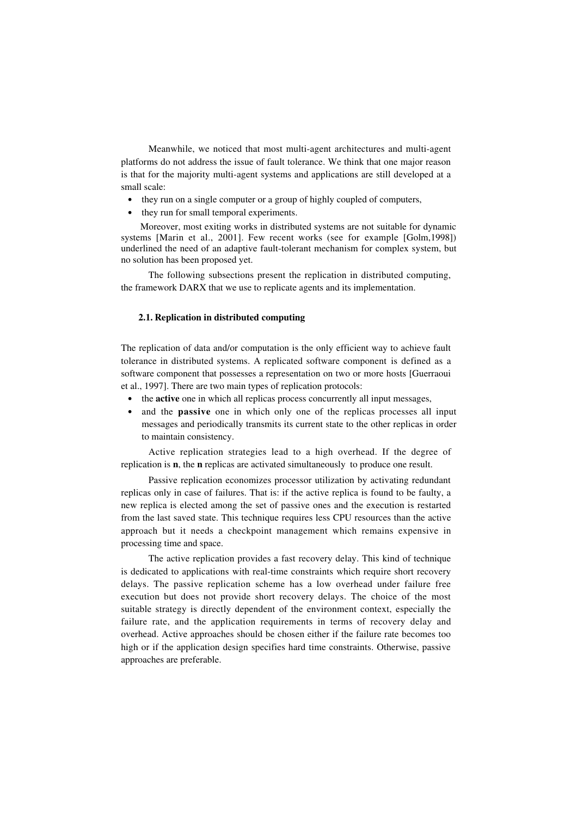Meanwhile, we noticed that most multi-agent architectures and multi-agent platforms do not address the issue of fault tolerance. We think that one major reason is that for the majority multi-agent systems and applications are still developed at a small scale:

- they run on a single computer or a group of highly coupled of computers,
- they run for small temporal experiments.

Moreover, most exiting works in distributed systems are not suitable for dynamic systems [Marin et al., 2001]. Few recent works (see for example [Golm,1998]) underlined the need of an adaptive fault-tolerant mechanism for complex system, but no solution has been proposed yet.

The following subsections present the replication in distributed computing, the framework DARX that we use to replicate agents and its implementation.

#### **2.1. Replication in distributed computing**

The replication of data and/or computation is the only efficient way to achieve fault tolerance in distributed systems. A replicated software component is defined as a software component that possesses a representation on two or more hosts [Guerraoui et al., 1997]. There are two main types of replication protocols:

- the **active** one in which all replicas process concurrently all input messages,
- and the **passive** one in which only one of the replicas processes all input messages and periodically transmits its current state to the other replicas in order to maintain consistency.

Active replication strategies lead to a high overhead. If the degree of replication is **n**, the **n** replicas are activated simultaneously to produce one result.

Passive replication economizes processor utilization by activating redundant replicas only in case of failures. That is: if the active replica is found to be faulty, a new replica is elected among the set of passive ones and the execution is restarted from the last saved state. This technique requires less CPU resources than the active approach but it needs a checkpoint management which remains expensive in processing time and space.

The active replication provides a fast recovery delay. This kind of technique is dedicated to applications with real-time constraints which require short recovery delays. The passive replication scheme has a low overhead under failure free execution but does not provide short recovery delays. The choice of the most suitable strategy is directly dependent of the environment context, especially the failure rate, and the application requirements in terms of recovery delay and overhead. Active approaches should be chosen either if the failure rate becomes too high or if the application design specifies hard time constraints. Otherwise, passive approaches are preferable.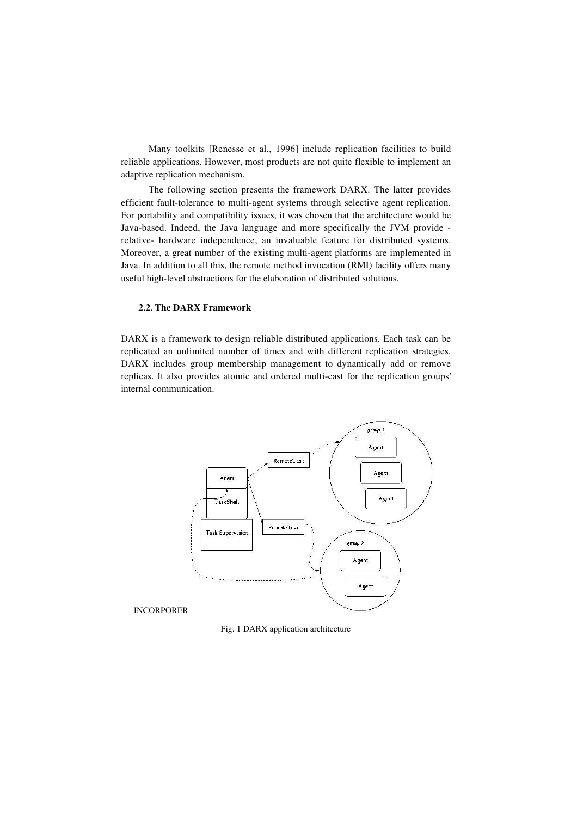Many toolkits [Renesse et al., 1996] include replication facilities to build reliable applications. However, most products are not quite flexible to implement an adaptive replication mechanism.

The following section presents the framework DARX. The latter provides efficient fault-tolerance to multi-agent systems through selective agent replication. For portability and compatibility issues, it was chosen that the architecture would be Java-based. Indeed, the Java language and more specifically the JVM provide relative- hardware independence, an invaluable feature for distributed systems. Moreover, a great number of the existing multi-agent platforms are implemented in Java. In addition to all this, the remote method invocation (RMI) facility offers many useful high-level abstractions for the elaboration of distributed solutions.

#### **2.2. The DARX Framework**

DARX is a framework to design reliable distributed applications. Each task can be replicated an unlimited number of times and with different replication strategies. DARX includes group membership management to dynamically add or remove replicas. It also provides atomic and ordered multi-cast for the replication groups' internal communication.



Fig. 1 DARX application architecture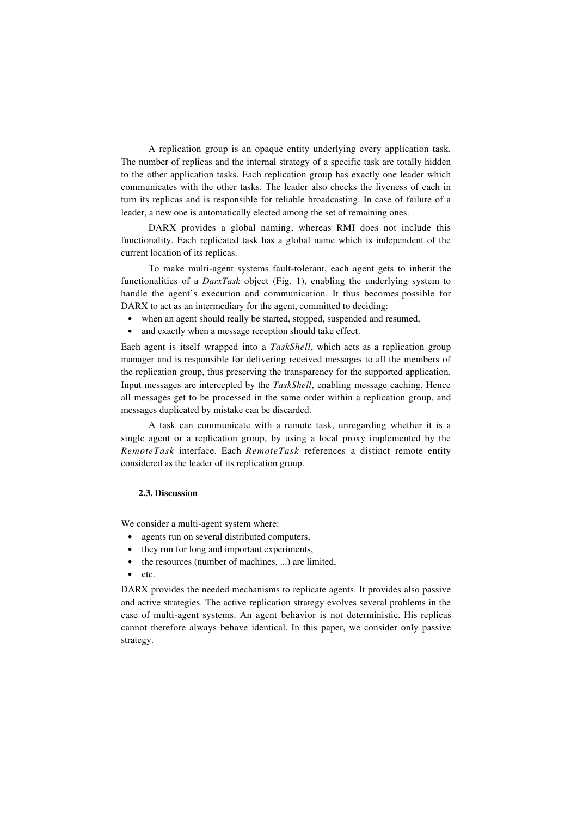A replication group is an opaque entity underlying every application task. The number of replicas and the internal strategy of a specific task are totally hidden to the other application tasks. Each replication group has exactly one leader which communicates with the other tasks. The leader also checks the liveness of each in turn its replicas and is responsible for reliable broadcasting. In case of failure of a leader, a new one is automatically elected among the set of remaining ones.

DARX provides a global naming, whereas RMI does not include this functionality. Each replicated task has a global name which is independent of the current location of its replicas.

To make multi-agent systems fault-tolerant, each agent gets to inherit the functionalities of a *DarxTask* object (Fig. 1), enabling the underlying system to handle the agent's execution and communication. It thus becomes possible for DARX to act as an intermediary for the agent, committed to deciding:

- when an agent should really be started, stopped, suspended and resumed,
- and exactly when a message reception should take effect.

Each agent is itself wrapped into a *TaskShell*, which acts as a replication group manager and is responsible for delivering received messages to all the members of the replication group, thus preserving the transparency for the supported application. Input messages are intercepted by the *TaskShell*, enabling message caching. Hence all messages get to be processed in the same order within a replication group, and messages duplicated by mistake can be discarded.

A task can communicate with a remote task, unregarding whether it is a single agent or a replication group, by using a local proxy implemented by the *RemoteTask* interface. Each *RemoteTask* references a distinct remote entity considered as the leader of its replication group.

#### **2.3. Discussion**

We consider a multi-agent system where:

- agents run on several distributed computers,
- they run for long and important experiments,
- the resources (number of machines, ...) are limited,
- etc.

DARX provides the needed mechanisms to replicate agents. It provides also passive and active strategies. The active replication strategy evolves several problems in the case of multi-agent systems. An agent behavior is not deterministic. His replicas cannot therefore always behave identical. In this paper, we consider only passive strategy.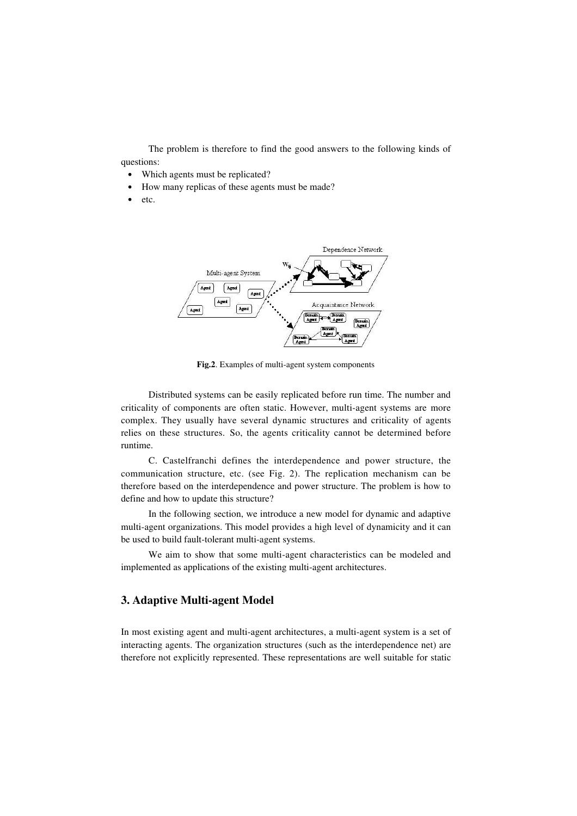The problem is therefore to find the good answers to the following kinds of questions:

- Which agents must be replicated?
- How many replicas of these agents must be made?
- etc.



**Fig.2**. Examples of multi-agent system components

Distributed systems can be easily replicated before run time. The number and criticality of components are often static. However, multi-agent systems are more complex. They usually have several dynamic structures and criticality of agents relies on these structures. So, the agents criticality cannot be determined before runtime.

C. Castelfranchi defines the interdependence and power structure, the communication structure, etc. (see Fig. 2). The replication mechanism can be therefore based on the interdependence and power structure. The problem is how to define and how to update this structure?

In the following section, we introduce a new model for dynamic and adaptive multi-agent organizations. This model provides a high level of dynamicity and it can be used to build fault-tolerant multi-agent systems.

We aim to show that some multi-agent characteristics can be modeled and implemented as applications of the existing multi-agent architectures.

## **3. Adaptive Multi-agent Model**

In most existing agent and multi-agent architectures, a multi-agent system is a set of interacting agents. The organization structures (such as the interdependence net) are therefore not explicitly represented. These representations are well suitable for static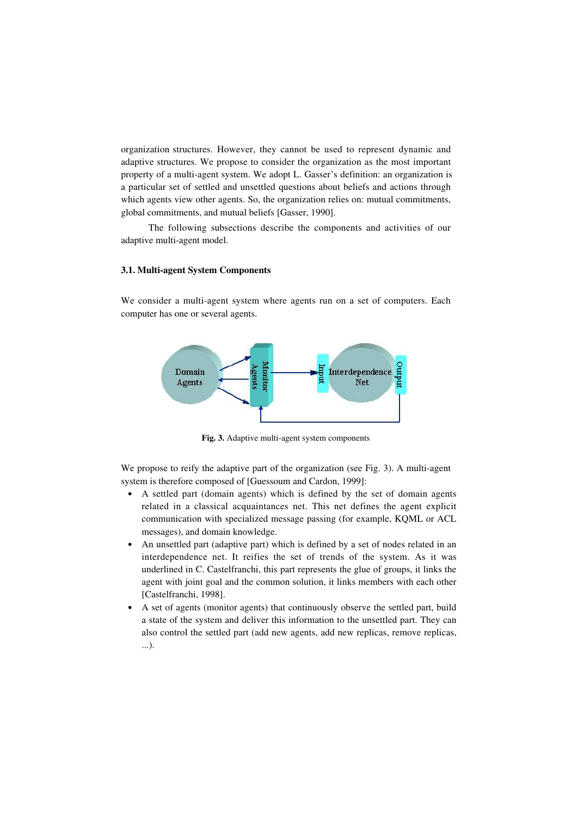organization structures. However, they cannot be used to represent dynamic and adaptive structures. We propose to consider the organization as the most important property of a multi-agent system. We adopt L. Gasser's definition: an organization is a particular set of settled and unsettled questions about beliefs and actions through which agents view other agents. So, the organization relies on: mutual commitments, global commitments, and mutual beliefs [Gasser, 1990].

The following subsections describe the components and activities of our adaptive multi-agent model.

#### **3.1. Multi-agent System Components**

We consider a multi-agent system where agents run on a set of computers. Each computer has one or several agents.



**Fig. 3.** Adaptive multi-agent system components

We propose to reify the adaptive part of the organization (see Fig. 3). A multi-agent system is therefore composed of [Guessoum and Cardon, 1999]:

- A settled part (domain agents) which is defined by the set of domain agents related in a classical acquaintances net. This net defines the agent explicit communication with specialized message passing (for example, KQML or ACL messages), and domain knowledge.
- An unsettled part (adaptive part) which is defined by a set of nodes related in an interdependence net. It reifies the set of trends of the system. As it was underlined in C. Castelfranchi, this part represents the glue of groups, it links the agent with joint goal and the common solution, it links members with each other [Castelfranchi, 1998].
- A set of agents (monitor agents) that continuously observe the settled part, build a state of the system and deliver this information to the unsettled part. They can also control the settled part (add new agents, add new replicas, remove replicas, ...).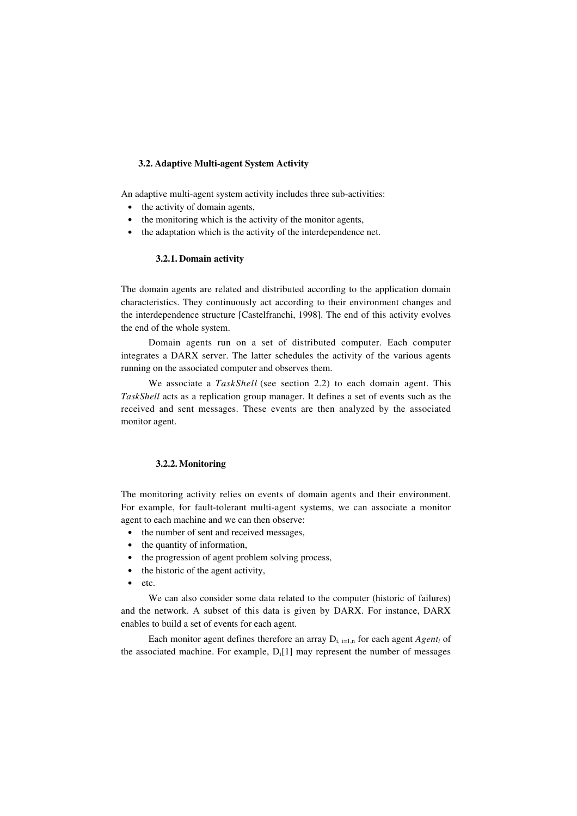#### **3.2. Adaptive Multi-agent System Activity**

An adaptive multi-agent system activity includes three sub-activities:

- the activity of domain agents,
- the monitoring which is the activity of the monitor agents,
- the adaptation which is the activity of the interdependence net.

### **3.2.1. Domain activity**

The domain agents are related and distributed according to the application domain characteristics. They continuously act according to their environment changes and the interdependence structure [Castelfranchi, 1998]. The end of this activity evolves the end of the whole system.

Domain agents run on a set of distributed computer. Each computer integrates a DARX server. The latter schedules the activity of the various agents running on the associated computer and observes them.

We associate a *TaskShell* (see section 2.2) to each domain agent. This *TaskShell* acts as a replication group manager. It defines a set of events such as the received and sent messages. These events are then analyzed by the associated monitor agent.

#### **3.2.2. Monitoring**

The monitoring activity relies on events of domain agents and their environment. For example, for fault-tolerant multi-agent systems, we can associate a monitor agent to each machine and we can then observe:

- the number of sent and received messages,
- the quantity of information,
- the progression of agent problem solving process,
- the historic of the agent activity,
- etc.

We can also consider some data related to the computer (historic of failures) and the network. A subset of this data is given by DARX. For instance, DARX enables to build a set of events for each agent.

Each monitor agent defines therefore an array  $D_{i,j}=1,n$  for each agent  $Agent_i$  of the associated machine. For example,  $D_i[1]$  may represent the number of messages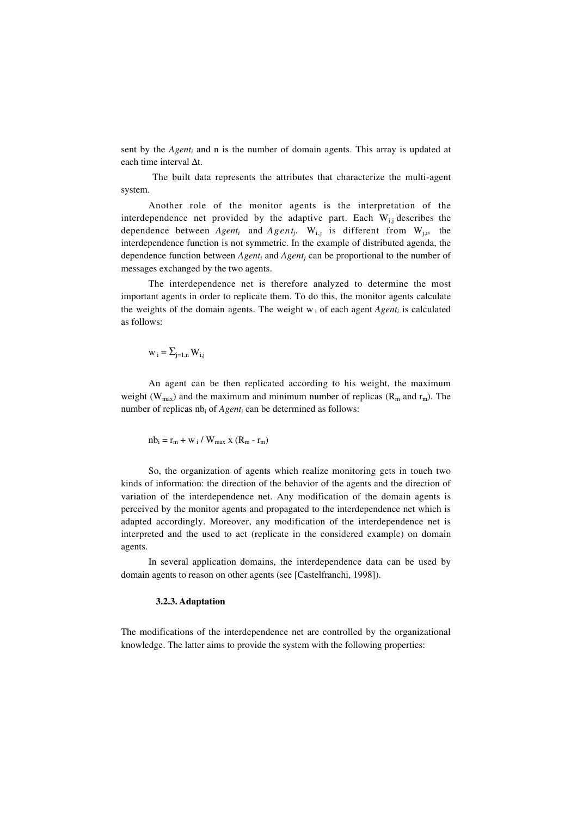sent by the *Agent<sub>i</sub>* and n is the number of domain agents. This array is updated at each time interval ∆t.

 The built data represents the attributes that characterize the multi-agent system.

Another role of the monitor agents is the interpretation of the interdependence net provided by the adaptive part. Each  $W_{i,j}$  describes the dependence between  $Agent_i$  and  $Agent_j$ . W<sub>i,j</sub> is different from W<sub>j,i</sub>, the interdependence function is not symmetric. In the example of distributed agenda, the dependence function between *Agent<sup>i</sup>* and *Agent<sup>j</sup>* can be proportional to the number of messages exchanged by the two agents.

The interdependence net is therefore analyzed to determine the most important agents in order to replicate them. To do this, the monitor agents calculate the weights of the domain agents. The weight  $w_i$  of each agent  $Agent_i$  is calculated as follows:

$$
w_i = \Sigma_{j=1,n} \, W_{i,j}
$$

An agent can be then replicated according to his weight, the maximum weight ( $W_{max}$ ) and the maximum and minimum number of replicas ( $R_m$  and  $r_m$ ). The number of replicas nb<sub>i</sub> of *Agent<sub>i</sub>* can be determined as follows:

$$
nb_i = r_m + w_i / W_{max} x (R_m - r_m)
$$

So, the organization of agents which realize monitoring gets in touch two kinds of information: the direction of the behavior of the agents and the direction of variation of the interdependence net. Any modification of the domain agents is perceived by the monitor agents and propagated to the interdependence net which is adapted accordingly. Moreover, any modification of the interdependence net is interpreted and the used to act (replicate in the considered example) on domain agents.

In several application domains, the interdependence data can be used by domain agents to reason on other agents (see [Castelfranchi, 1998]).

#### **3.2.3. Adaptation**

The modifications of the interdependence net are controlled by the organizational knowledge. The latter aims to provide the system with the following properties: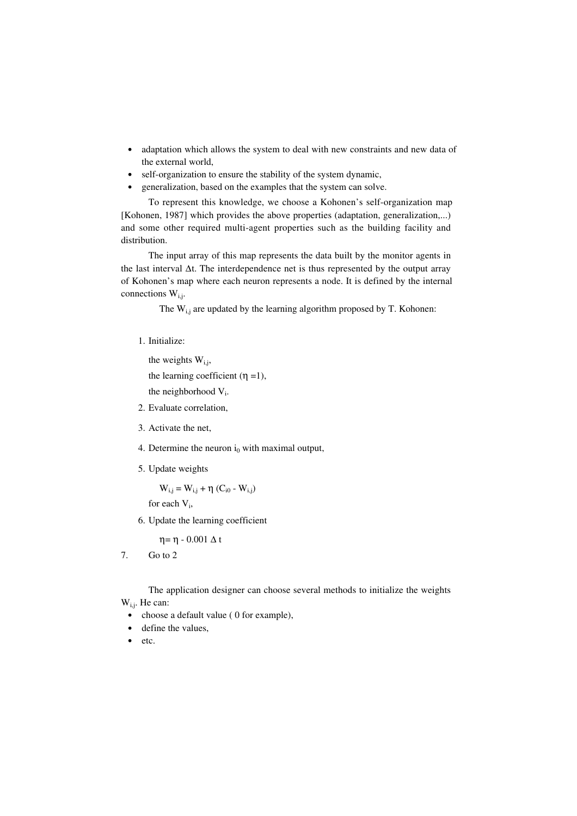- adaptation which allows the system to deal with new constraints and new data of the external world,
- self-organization to ensure the stability of the system dynamic,
- generalization, based on the examples that the system can solve.

To represent this knowledge, we choose a Kohonen's self-organization map [Kohonen, 1987] which provides the above properties (adaptation, generalization,...) and some other required multi-agent properties such as the building facility and distribution.

The input array of this map represents the data built by the monitor agents in the last interval ∆t. The interdependence net is thus represented by the output array of Kohonen's map where each neuron represents a node. It is defined by the internal connections  $W_{i,j}$ .

The  $W_{i,j}$  are updated by the learning algorithm proposed by T. Kohonen:

1. Initialize:

```
the weights W_{i,i},
the learning coefficient (\eta =1),
the neighborhood V<sub>i</sub>.
```
- 2. Evaluate correlation,
- 3. Activate the net,
- 4. Determine the neuron  $i_0$  with maximal output,
- 5. Update weights

 $W_{i,j} = W_{i,j} + η (C_{i0} - W_{i,j})$ 

for each V<sub>i</sub>,

6. Update the learning coefficient

 $η = η - 0.001 Δ t$ 

7. Go to 2

The application designer can choose several methods to initialize the weights

W<sub>i,i</sub>. He can:

- choose a default value (0 for example),
- define the values,
- etc.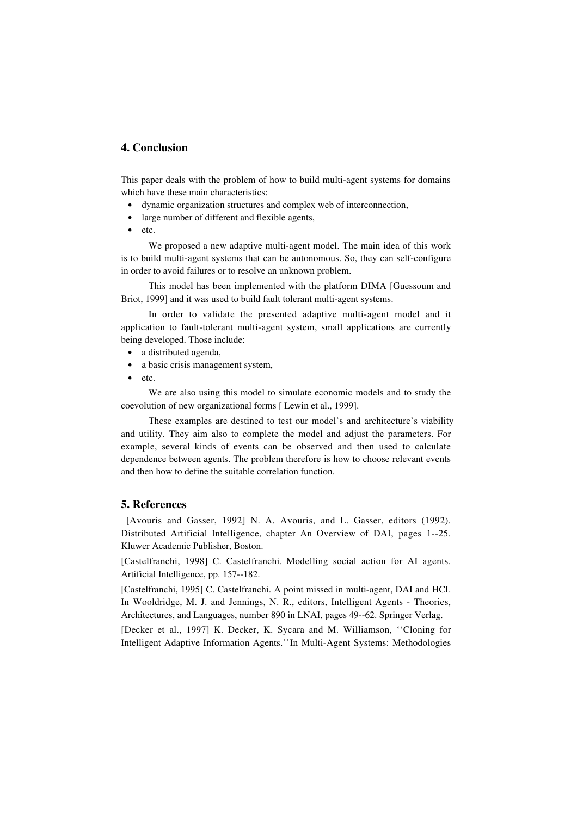## **4. Conclusion**

This paper deals with the problem of how to build multi-agent systems for domains which have these main characteristics:

- dynamic organization structures and complex web of interconnection,
- large number of different and flexible agents,
- etc.

We proposed a new adaptive multi-agent model. The main idea of this work is to build multi-agent systems that can be autonomous. So, they can self-configure in order to avoid failures or to resolve an unknown problem.

This model has been implemented with the platform DIMA [Guessoum and Briot, 1999] and it was used to build fault tolerant multi-agent systems.

In order to validate the presented adaptive multi-agent model and it application to fault-tolerant multi-agent system, small applications are currently being developed. Those include:

- a distributed agenda,
- a basic crisis management system,
- etc.

We are also using this model to simulate economic models and to study the coevolution of new organizational forms [ Lewin et al., 1999].

These examples are destined to test our model's and architecture's viability and utility. They aim also to complete the model and adjust the parameters. For example, several kinds of events can be observed and then used to calculate dependence between agents. The problem therefore is how to choose relevant events and then how to define the suitable correlation function.

### **5. References**

 [Avouris and Gasser, 1992] N. A. Avouris, and L. Gasser, editors (1992). Distributed Artificial Intelligence, chapter An Overview of DAI, pages 1--25. Kluwer Academic Publisher, Boston.

[Castelfranchi, 1998] C. Castelfranchi. Modelling social action for AI agents. Artificial Intelligence, pp. 157--182.

[Castelfranchi, 1995] C. Castelfranchi. A point missed in multi-agent, DAI and HCI. In Wooldridge, M. J. and Jennings, N. R., editors, Intelligent Agents - Theories, Architectures, and Languages, number 890 in LNAI, pages 49--62. Springer Verlag.

[Decker et al., 1997] K. Decker, K. Sycara and M. Williamson, ''Cloning for Intelligent Adaptive Information Agents.'' In Multi-Agent Systems: Methodologies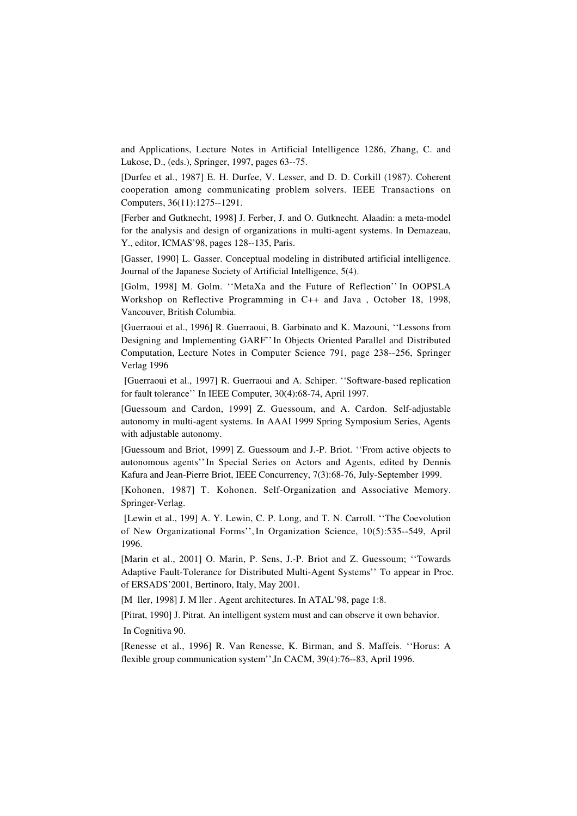and Applications, Lecture Notes in Artificial Intelligence 1286, Zhang, C. and Lukose, D., (eds.), Springer, 1997, pages 63--75.

[Durfee et al., 1987] E. H. Durfee, V. Lesser, and D. D. Corkill (1987). Coherent cooperation among communicating problem solvers. IEEE Transactions on Computers, 36(11):1275--1291.

[Ferber and Gutknecht, 1998] J. Ferber, J. and O. Gutknecht. Alaadin: a meta-model for the analysis and design of organizations in multi-agent systems. In Demazeau, Y., editor, ICMAS'98, pages 128--135, Paris.

[Gasser, 1990] L. Gasser. Conceptual modeling in distributed artificial intelligence. Journal of the Japanese Society of Artificial Intelligence, 5(4).

[Golm, 1998] M. Golm. ''MetaXa and the Future of Reflection'' In OOPSLA Workshop on Reflective Programming in C++ and Java , October 18, 1998, Vancouver, British Columbia.

[Guerraoui et al., 1996] R. Guerraoui, B. Garbinato and K. Mazouni, ''Lessons from Designing and Implementing GARF''In Objects Oriented Parallel and Distributed Computation, Lecture Notes in Computer Science 791, page 238--256, Springer Verlag 1996

 [Guerraoui et al., 1997] R. Guerraoui and A. Schiper. ''Software-based replication for fault tolerance'' In IEEE Computer, 30(4):68-74, April 1997.

[Guessoum and Cardon, 1999] Z. Guessoum, and A. Cardon. Self-adjustable autonomy in multi-agent systems. In AAAI 1999 Spring Symposium Series, Agents with adjustable autonomy.

[Guessoum and Briot, 1999] Z. Guessoum and J.-P. Briot. ''From active objects to autonomous agents'' In Special Series on Actors and Agents, edited by Dennis Kafura and Jean-Pierre Briot, IEEE Concurrency, 7(3):68-76, July-September 1999.

[Kohonen, 1987] T. Kohonen. Self-Organization and Associative Memory. Springer-Verlag.

 [Lewin et al., 199] A. Y. Lewin, C. P. Long, and T. N. Carroll. ''The Coevolution of New Organizational Forms'', In Organization Science, 10(5):535--549, April 1996.

[Marin et al., 2001] O. Marin, P. Sens, J.-P. Briot and Z. Guessoum; ''Towards Adaptive Fault-Tolerance for Distributed Multi-Agent Systems'' To appear in Proc. of ERSADS'2001, Bertinoro, Italy, May 2001.

[M ller, 1998] J. M ller . Agent architectures. In ATAL'98, page 1:8.

[Pitrat, 1990] J. Pitrat. An intelligent system must and can observe it own behavior. In Cognitiva 90.

[Renesse et al., 1996] R. Van Renesse, K. Birman, and S. Maffeis. ''Horus: A flexible group communication system'', In CACM, 39(4):76--83, April 1996.